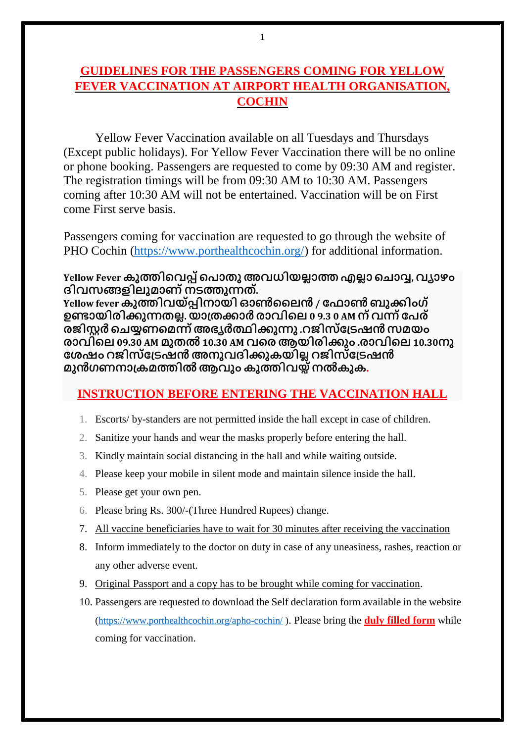# **GUIDELINES FOR THE PASSENGERS COMING FOR YELLOW FEVER VACCINATION AT AIRPORT HEALTH ORGANISATION, COCHIN**

Yellow Fever Vaccination available on all Tuesdays and Thursdays (Except public holidays). For Yellow Fever Vaccination there will be no online or phone booking. Passengers are requested to come by 09:30 AM and register. The registration timings will be from 09:30 AM to 10:30 AM. Passengers coming after 10:30 AM will not be entertained. Vaccination will be on First come First serve basis.

Passengers coming for vaccination are requested to go through the website of PHO Cochin [\(https://www.porthealthcochin.org/\)](https://www.porthealthcochin.org/) for additional information.

**Yellow Fever കുത്തിവെപ്പ്വ ൊതുഅെധിയല്ലൊത്തഎല്ലൊ വ ൊവ്വ, െയൊഴം ദിെസങ്ങളിലുമൊണ്നടത്തുന്നത്. Yellow feverകുത്തിെയ്പ്പിനൊയിഓൺലലൻ/ ഫ ൊൺബുക്ിംഗ്**

**ഉണ്ടൊയിരിക്ുന്നതല്ല. യൊത്തക്ൊർ രൊെിവല 0 9.3 0 AM ന്െന്ന്ഫ ര് രജിസ്റ്റർ വ യ്യണവമന്ന്അഭ്യർത്ഥിക്ുന്നു .റജിസ്ഫത്ടഷൻസമയം രൊെിവല 09.30 AM മുതൽ10.30 AM െവരആയിരിക്ും .രൊെിവല 10.30നു ഫേഷം റജിസ്ഫത്ടഷൻഅനുെദിക്ുകയില്ല റജിസ്ഫത്ടഷൻ മുൻഗണനൊത്കമത്തിൽആെും കുത്തിെയ്പ്നൽകുക.**

#### **INSTRUCTION BEFORE ENTERING THE VACCINATION HALL**

- 1. Escorts/ by-standers are not permitted inside the hall except in case of children.
- 2. Sanitize your hands and wear the masks properly before entering the hall.
- 3. Kindly maintain social distancing in the hall and while waiting outside.
- 4. Please keep your mobile in silent mode and maintain silence inside the hall.
- 5. Please get your own pen.
- 6. Please bring Rs. 300/-(Three Hundred Rupees) change.
- 7. All vaccine beneficiaries have to wait for 30 minutes after receiving the vaccination
- 8. Inform immediately to the doctor on duty in case of any uneasiness, rashes, reaction or any other adverse event.
- 9. Original Passport and a copy has to be brought while coming for vaccination.
- 10. Passengers are requested to download the Self declaration form available in the website [\(https://www.porthealthcochin.org/apho-cochin/](https://www.porthealthcochin.org/apho-cochin/) ). Please bring the **duly filled form** while coming for vaccination.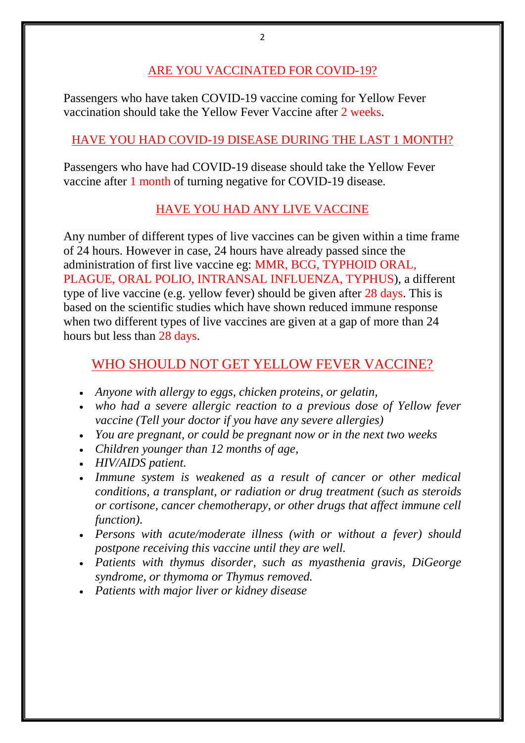### ARE YOU VACCINATED FOR COVID-19?

Passengers who have taken COVID-19 vaccine coming for Yellow Fever vaccination should take the Yellow Fever Vaccine after 2 weeks.

## HAVE YOU HAD COVID-19 DISEASE DURING THE LAST 1 MONTH?

Passengers who have had COVID-19 disease should take the Yellow Fever vaccine after 1 month of turning negative for COVID-19 disease.

# HAVE YOU HAD ANY LIVE VACCINE

Any number of different types of live vaccines can be given within a time frame of 24 hours. However in case, 24 hours have already passed since the administration of first live vaccine eg: MMR, BCG, TYPHOID ORAL, PLAGUE, ORAL POLIO, INTRANSAL INFLUENZA, TYPHUS), a different type of live vaccine (e.g. yellow fever) should be given after 28 days. This is based on the scientific studies which have shown reduced immune response when two different types of live vaccines are given at a gap of more than 24 hours but less than 28 days.

# WHO SHOULD NOT GET YELLOW FEVER VACCINE?

- *Anyone with allergy to eggs, chicken proteins, or gelatin,*
- *who had a severe allergic reaction to a previous dose of Yellow fever vaccine (Tell your doctor if you have any severe allergies)*
- *You are pregnant, or could be pregnant now or in the next two weeks*
- *Children younger than 12 months of age,*
- *HIV/AIDS patient.*
- *Immune system is weakened as a result of cancer or other medical conditions, a transplant, or radiation or drug treatment (such as steroids or cortisone, cancer chemotherapy, or other drugs that affect immune cell function).*
- *Persons with acute/moderate illness (with or without a fever) should postpone receiving this vaccine until they are well.*
- *Patients with thymus disorder, such as myasthenia gravis, DiGeorge syndrome, or thymoma or Thymus removed.*
- *Patients with major liver or kidney disease*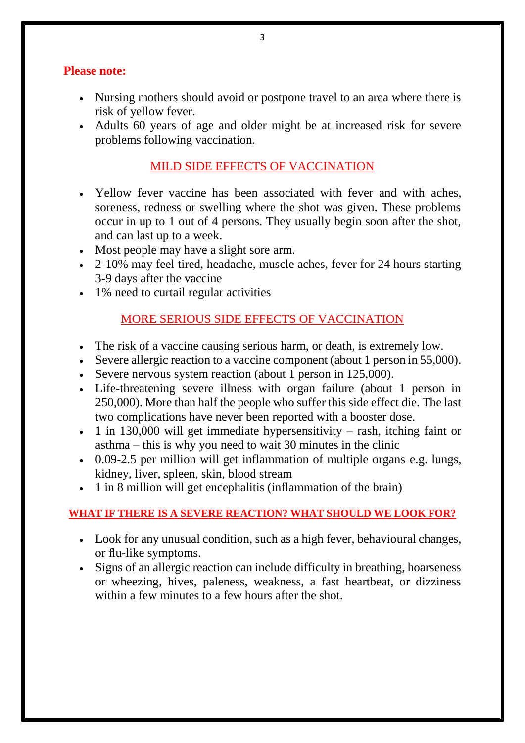#### **Please note:**

- Nursing mothers should avoid or postpone travel to an area where there is risk of yellow fever.
- Adults 60 years of age and older might be at increased risk for severe problems following vaccination.

## MILD SIDE EFFECTS OF VACCINATION

- Yellow fever vaccine has been associated with fever and with aches, soreness, redness or swelling where the shot was given. These problems occur in up to 1 out of 4 persons. They usually begin soon after the shot, and can last up to a week.
- Most people may have a slight sore arm.
- 2-10% may feel tired, headache, muscle aches, fever for 24 hours starting 3-9 days after the vaccine
- 1% need to curtail regular activities

## MORE SERIOUS SIDE EFFECTS OF VACCINATION

- The risk of a vaccine causing serious harm, or death, is extremely low.
- Severe allergic reaction to a vaccine component (about 1 person in 55,000).
- Severe nervous system reaction (about 1 person in 125,000).
- Life-threatening severe illness with organ failure (about 1 person in 250,000). More than half the people who suffer this side effect die. The last two complications have never been reported with a booster dose.
- $\cdot$  1 in 130,000 will get immediate hypersensitivity rash, itching faint or asthma – this is why you need to wait 30 minutes in the clinic
- 0.09-2.5 per million will get inflammation of multiple organs e.g. lungs, kidney, liver, spleen, skin, blood stream
- 1 in 8 million will get encephalitis (inflammation of the brain)

#### **WHAT IF THERE IS A SEVERE REACTION? WHAT SHOULD WE LOOK FOR?**

- Look for any unusual condition, such as a high fever, behavioural changes, or flu-like symptoms.
- Signs of an allergic reaction can include difficulty in breathing, hoarseness or wheezing, hives, paleness, weakness, a fast heartbeat, or dizziness within a few minutes to a few hours after the shot.